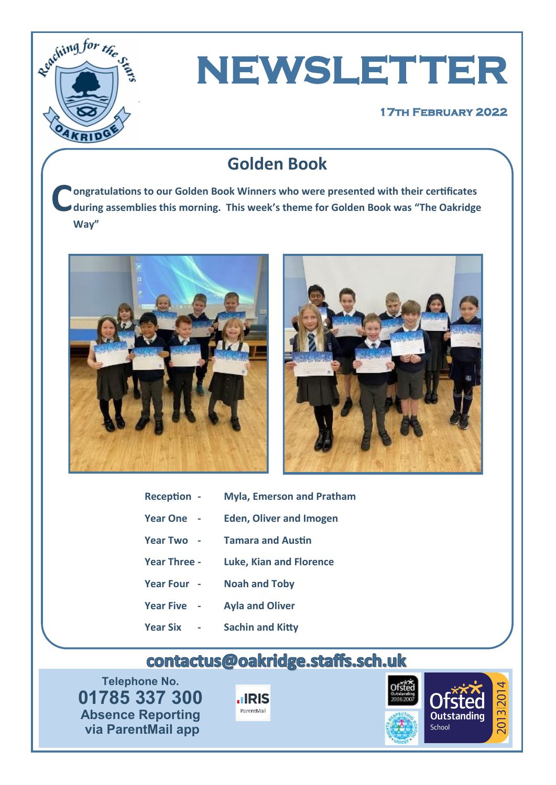

# **NEWSLETTER**

#### **17th February 2022**

## **Golden Book**

**C ongratulations to our Golden Book Winners who were presented with their certificates during assemblies this morning. This week's theme for Golden Book was "The Oakridge Way"**





| Reception -     | <b>Myla, Emerson and Pratham</b> |
|-----------------|----------------------------------|
| <b>Year One</b> | <b>Eden, Oliver and Imogen</b>   |

- **Year Two - Tamara and Austin**
- **Year Three - Luke, Kian and Florence**
- **Year Four - Noah and Toby**
- **Year Five - Ayla and Oliver**
- **Year Six - Sachin and Kitty**

## contactus@oakridge.staffs.sch.uk

**Telephone No. 01785 337 300 Absence Reporting via ParentMail app**



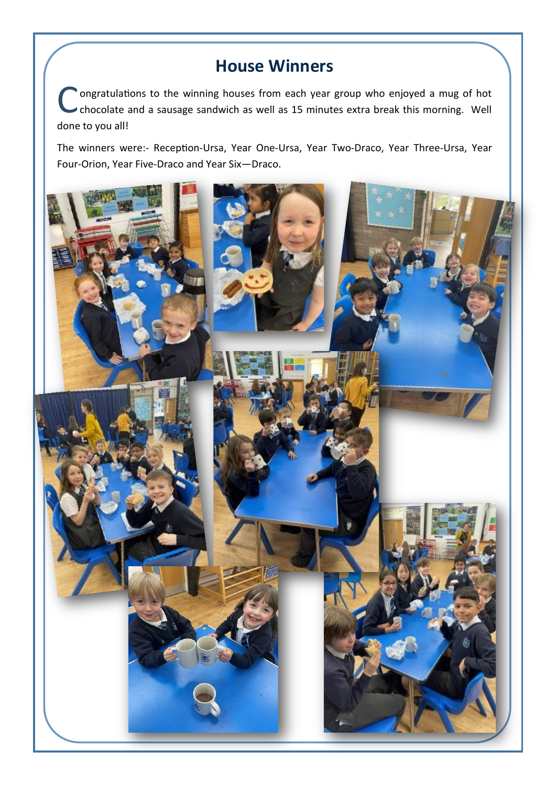### **House Winners**

C ongratulations to the winning houses from each year group who enjoyed a mug of hot chocolate and a sausage sandwich as well as 15 minutes extra break this morning. Well done to you all!

The winners were:- Reception-Ursa, Year One-Ursa, Year Two-Draco, Year Three-Ursa, Year Four-Orion, Year Five-Draco and Year Six—Draco.

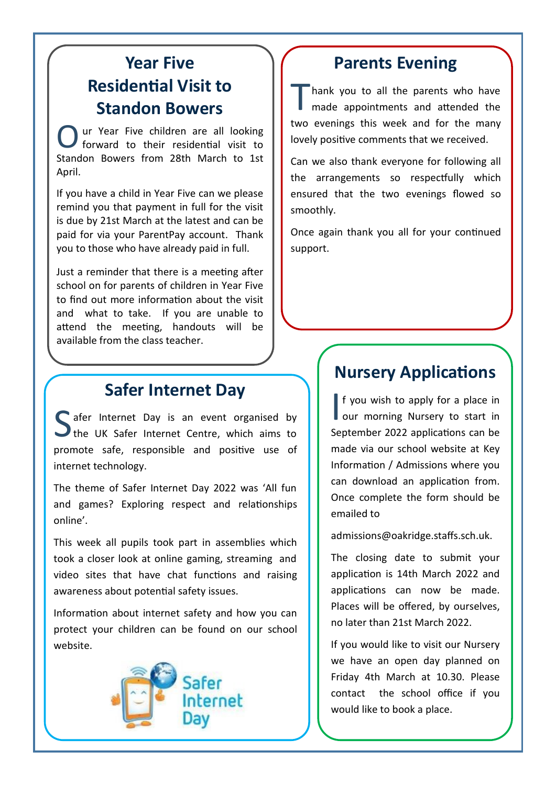## **Year Five Residential Visit to Standon Bowers**

O ur Year Five children are all looking forward to their residential visit to Standon Bowers from 28th March to 1st April.

If you have a child in Year Five can we please remind you that payment in full for the visit is due by 21st March at the latest and can be paid for via your ParentPay account. Thank you to those who have already paid in full.

Just a reminder that there is a meeting after school on for parents of children in Year Five to find out more information about the visit and what to take. If you are unable to attend the meeting, handouts will be available from the class teacher.

### **Safer Internet Day**

S afer Internet Day is an event organised by<br>the [UK Safer Internet Centre,](https://www.saferinternetday.org/en-GB/) which aims to C afer Internet Day is an event organised by promote safe, responsible and positive use of internet technology.

The theme of Safer Internet Day 2022 was 'All fun and games? Exploring respect and relationships online'.

This week all pupils took part in assemblies which took a closer look at online gaming, streaming and video sites that have chat functions and raising awareness about potential safety issues.

Information about internet safety and how you can protect your children can be found on our school website.



#### **Parents Evening**

T hank you to all the parents who have made appointments and attended the two evenings this week and for the many lovely positive comments that we received.

Can we also thank everyone for following all the arrangements so respectfully which ensured that the two evenings flowed so smoothly.

Once again thank you all for your continued support.

#### **Nursery Applications**

If you wish to apply for a place in<br>our morning Nursery to start in f you wish to apply for a place in September 2022 applications can be made via our school website at Key Information / Admissions where you can download an application from. Once complete the form should be emailed to

admissions@oakridge.staffs.sch.uk.

The closing date to submit your application is 14th March 2022 and applications can now be made. Places will be offered, by ourselves, no later than 21st March 2022.

If you would like to visit our Nursery we have an open day planned on Friday 4th March at 10.30. Please contact the school office if you would like to book a place.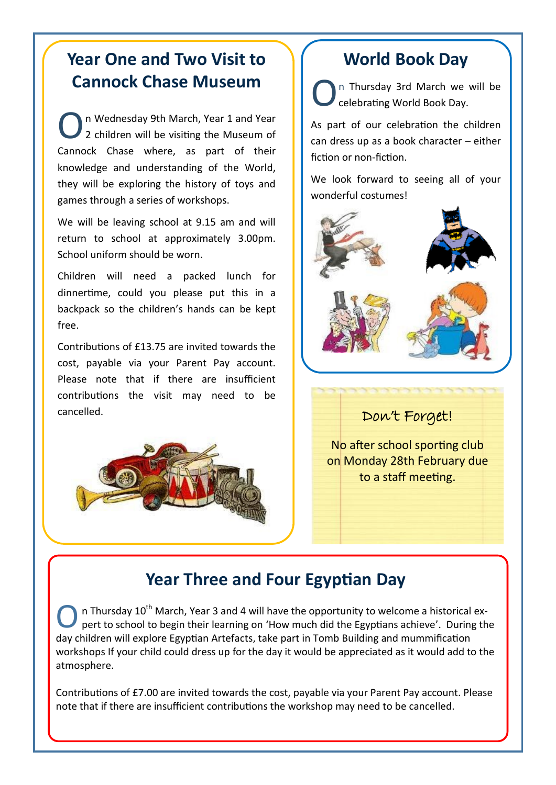## **Year One and Two Visit to Cannock Chase Museum**

O n Wednesday 9th March, Year 1 and Year 2 children will be visiting the Museum of Cannock Chase where, as part of their knowledge and understanding of the World, they will be exploring the history of toys and games through a series of workshops.

We will be leaving school at 9.15 am and will return to school at approximately 3.00pm. School uniform should be worn.

Children will need a packed lunch for dinnertime, could you please put this in a backpack so the children's hands can be kept free.

Contributions of £13.75 are invited towards the cost, payable via your Parent Pay account. Please note that if there are insufficient contributions the visit may need to be cancelled.



## **World Book Day**

O n Thursday 3rd March we will be celebrating World Book Day.

As part of our celebration the children can dress up as a book character – either fiction or non-fiction.

We look forward to seeing all of your wonderful costumes!



#### Don't Forget!

No after school sporting club on Monday 28th February due to a staff meeting.

## **Year Three and Four Egyptian Day**

O n Thursday  $10^{th}$  March, Year 3 and 4 will have the opportunity to welcome a historical expert to school to begin their learning on 'How much did the Egyptians achieve'. During the day children will explore Egyptian Artefacts, take part in Tomb Building and mummification workshops If your child could dress up for the day it would be appreciated as it would add to the atmosphere.

Contributions of £7.00 are invited towards the cost, payable via your Parent Pay account. Please note that if there are insufficient contributions the workshop may need to be cancelled.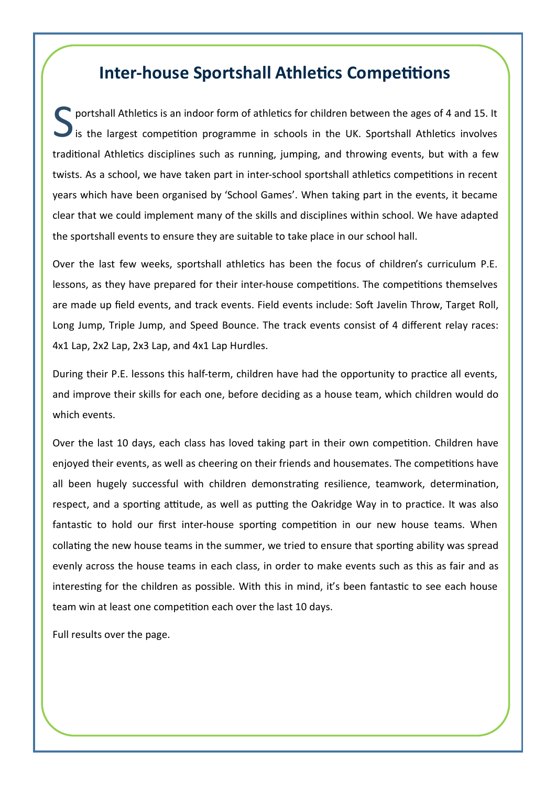#### **Inter-house Sportshall Athletics Competitions**

S portshall Athletics is an indoor form of athletics for children between the ages of 4 and 15. It is the largest competition programme in schools in the UK. Sportshall Athletics involves traditional Athletics disciplines such as running, jumping, and throwing events, but with a few twists. As a school, we have taken part in inter-school sportshall athletics competitions in recent years which have been organised by 'School Games'. When taking part in the events, it became clear that we could implement many of the skills and disciplines within school. We have adapted the sportshall events to ensure they are suitable to take place in our school hall.

Over the last few weeks, sportshall athletics has been the focus of children's curriculum P.E. lessons, as they have prepared for their inter-house competitions. The competitions themselves are made up field events, and track events. Field events include: Soft Javelin Throw, Target Roll, Long Jump, Triple Jump, and Speed Bounce. The track events consist of 4 different relay races: 4x1 Lap, 2x2 Lap, 2x3 Lap, and 4x1 Lap Hurdles.

During their P.E. lessons this half-term, children have had the opportunity to practice all events, and improve their skills for each one, before deciding as a house team, which children would do which events.

Over the last 10 days, each class has loved taking part in their own competition. Children have enjoyed their events, as well as cheering on their friends and housemates. The competitions have all been hugely successful with children demonstrating resilience, teamwork, determination, respect, and a sporting attitude, as well as putting the Oakridge Way in to practice. It was also fantastic to hold our first inter-house sporting competition in our new house teams. When collating the new house teams in the summer, we tried to ensure that sporting ability was spread evenly across the house teams in each class, in order to make events such as this as fair and as interesting for the children as possible. With this in mind, it's been fantastic to see each house team win at least one competition each over the last 10 days.

Full results over the page.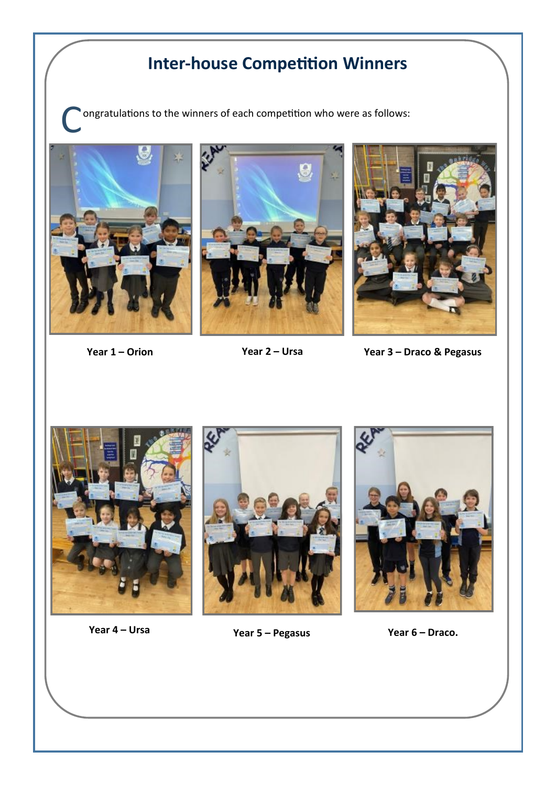## **Inter-house Competition Winners**

ongratulations to the winners of each competition who were as follows:







**Year 1 – Orion Year 2 – Ursa Year 3 – Draco & Pegasus**







**Year 4 – Ursa Year 5 – Pegasus Year 6 – Draco.**